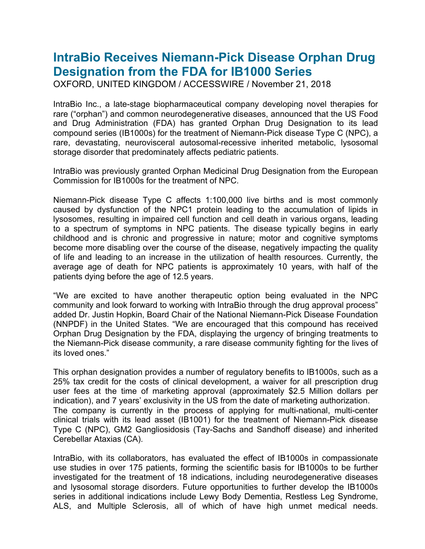## **IntraBio Receives Niemann-Pick Disease Orphan Drug Designation from the FDA for IB1000 Series**

OXFORD, UNITED KINGDOM / ACCESSWIRE / November 21, 2018

IntraBio Inc., a late-stage biopharmaceutical company developing novel therapies for rare ("orphan") and common neurodegenerative diseases, announced that the US Food and Drug Administration (FDA) has granted Orphan Drug Designation to its lead compound series (IB1000s) for the treatment of Niemann-Pick disease Type C (NPC), a rare, devastating, neurovisceral autosomal-recessive inherited metabolic, lysosomal storage disorder that predominately affects pediatric patients.

IntraBio was previously granted Orphan Medicinal Drug Designation from the European Commission for IB1000s for the treatment of NPC.

Niemann-Pick disease Type C affects 1:100,000 live births and is most commonly caused by dysfunction of the NPC1 protein leading to the accumulation of lipids in lysosomes, resulting in impaired cell function and cell death in various organs, leading to a spectrum of symptoms in NPC patients. The disease typically begins in early childhood and is chronic and progressive in nature; motor and cognitive symptoms become more disabling over the course of the disease, negatively impacting the quality of life and leading to an increase in the utilization of health resources. Currently, the average age of death for NPC patients is approximately 10 years, with half of the patients dying before the age of 12.5 years.

"We are excited to have another therapeutic option being evaluated in the NPC community and look forward to working with IntraBio through the drug approval process" added Dr. Justin Hopkin, Board Chair of the National Niemann-Pick Disease Foundation (NNPDF) in the United States. "We are encouraged that this compound has received Orphan Drug Designation by the FDA, displaying the urgency of bringing treatments to the Niemann-Pick disease community, a rare disease community fighting for the lives of its loved ones."

This orphan designation provides a number of regulatory benefits to IB1000s, such as a 25% tax credit for the costs of clinical development, a waiver for all prescription drug user fees at the time of marketing approval (approximately \$2.5 Million dollars per indication), and 7 years' exclusivity in the US from the date of marketing authorization. The company is currently in the process of applying for multi-national, multi-center clinical trials with its lead asset (IB1001) for the treatment of Niemann-Pick disease Type C (NPC), GM2 Gangliosidosis (Tay-Sachs and Sandhoff disease) and inherited Cerebellar Ataxias (CA).

IntraBio, with its collaborators, has evaluated the effect of IB1000s in compassionate use studies in over 175 patients, forming the scientific basis for IB1000s to be further investigated for the treatment of 18 indications, including neurodegenerative diseases and lysosomal storage disorders. Future opportunities to further develop the IB1000s series in additional indications include Lewy Body Dementia, Restless Leg Syndrome, ALS, and Multiple Sclerosis, all of which of have high unmet medical needs.